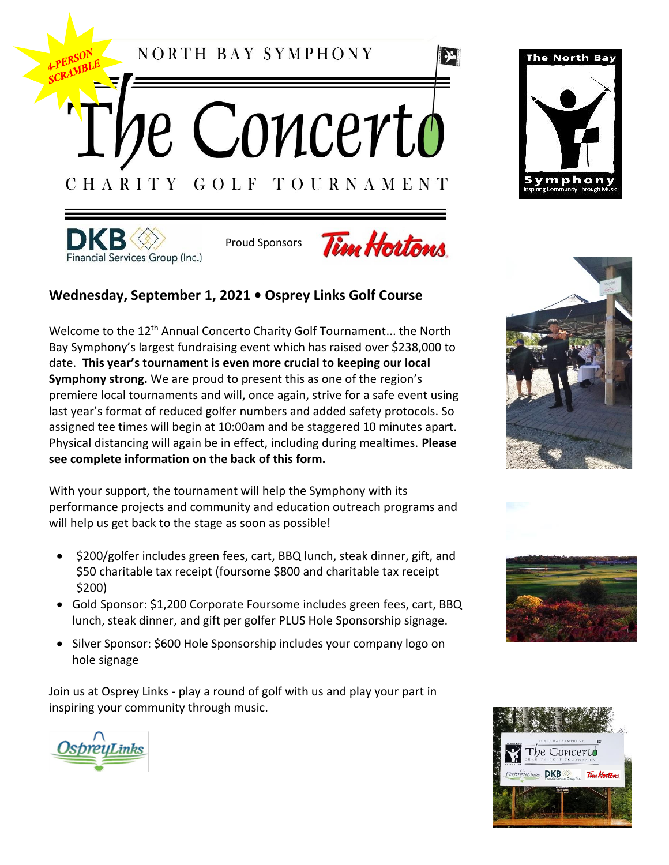NORTH BAY SYMPHONY

e Concerto GOLF TOURNAMENT CHARITY



Proud Sponsors



 $\sum$ 

## **Wednesday, September 1, 2021 • Osprey Links Golf Course**

Welcome to the 12<sup>th</sup> Annual Concerto Charity Golf Tournament... the North Bay Symphony's largest fundraising event which has raised over \$238,000 to date. **This year's tournament is even more crucial to keeping our local Symphony strong.** We are proud to present this as one of the region's premiere local tournaments and will, once again, strive for a safe event using last year's format of reduced golfer numbers and added safety protocols. So assigned tee times will begin at 10:00am and be staggered 10 minutes apart. Physical distancing will again be in effect, including during mealtimes. **Please see complete information on the back of this form.**

With your support, the tournament will help the Symphony with its performance projects and community and education outreach programs and will help us get back to the stage as soon as possible!

- \$200/golfer includes green fees, cart, BBQ lunch, steak dinner, gift, and \$50 charitable tax receipt (foursome \$800 and charitable tax receipt \$200)
- Gold Sponsor: \$1,200 Corporate Foursome includes green fees, cart, BBQ lunch, steak dinner, and gift per golfer PLUS Hole Sponsorship signage.
- Silver Sponsor: \$600 Hole Sponsorship includes your company logo on hole signage

Join us at Osprey Links - play a round of golf with us and play your part in inspiring your community through music.